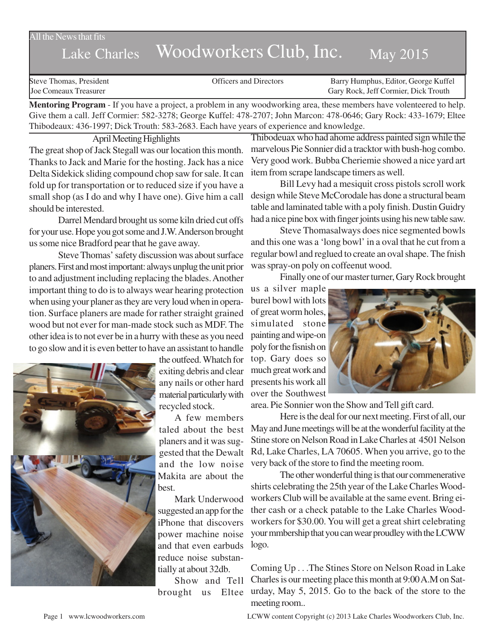#### All the News that fits

# Lake Charles Woodworkers Club, Inc. May 2015

Steve Thomas, President **State Concrete Concrete Concrete Concrete Concrete Concrete Concrete Concrete Concrete Concrete Concrete Concrete Concrete Concrete Concrete Concrete Concrete Concrete Concrete Concrete Concrete Co** Joe Comeaux Treasurer Gary Rock, Jeff Cormier, Dick Trouth

**Mentoring Program** - If you have a project, a problem in any woodworking area, these members have volenteered to help. Give them a call. Jeff Cormier: 582-3278; George Kuffel: 478-2707; John Marcon: 478-0646; Gary Rock: 433-1679; Eltee Thibodeaux: 436-1997; Dick Trouth: 583-2683. Each have years of experience and knowledge.

April Meeting Highlights

The great shop of Jack Stegall was our location this month. Thanks to Jack and Marie for the hosting. Jack has a nice Delta Sidekick sliding compound chop saw for sale. It can fold up for transportation or to reduced size if you have a small shop (as I do and why I have one). Give him a call should be interested.

Darrel Mendard brought us some kiln dried cut offs for your use. Hope you got some and J.W. Anderson brought us some nice Bradford pear that he gave away.

Steve Thomas' safety discussion was about surface planers. First and most important: always unplug the unit prior to and adjustment including replacing the blades. Another important thing to do is to always wear hearing protection when using your planer as they are very loud when in operation. Surface planers are made for rather straight grained wood but not ever for man-made stock such as MDF. The other idea is to not ever be in a hurry with these as you need to go slow and it is even better to have an assistant to handle



the outfeed. Whatch for exiting debris and clear any nails or other hard material particularly with recycled stock.

A few members taled about the best planers and it was suggested that the Dewalt and the low noise Makita are about the best.

Mark Underwood suggested an app for the iPhone that discovers power machine noise and that even earbuds reduce noise substantially at about 32db.

Show and Tell

Thibodeuax who had ahome address painted sign while the marvelous Pie Sonnier did a tracktor with bush-hog combo. Very good work. Bubba Cheriemie showed a nice yard art item from scrape landscape timers as well.

Bill Levy had a mesiquit cross pistols scroll work design while Steve McCorodale has done a structural beam table and laminated table with a poly finish. Dustin Guidry had a nice pine box with finger joints using his new table saw.

Steve Thomasalways does nice segmented bowls and this one was a 'long bowl' in a oval that he cut from a regular bowl and reglued to create an oval shape. The fnish was spray-on poly on coffeenut wood.

Finally one of our master turner, Gary Rock brought

us a silver maple burel bowl with lots of great worm holes, simulated stone painting and wipe-on poly for the fisnish on top. Gary does so much great work and presents his work all over the Southwest



area. Pie Sonnier won the Show and Tell gift card.

Here is the deal for our next meeting. First of all, our May and June meetings will be at the wonderful facility at the Stine store on Nelson Road in Lake Charles at 4501 Nelson Rd, Lake Charles, LA 70605. When you arrive, go to the very back of the store to find the meeting room.

The other wonderful thing is that our commenerative shirts celebrating the 25th year of the Lake Charles Woodworkers Club will be available at the same event. Bring either cash or a check patable to the Lake Charles Woodworkers for \$30.00. You will get a great shirt celebrating your mmbership that you can wear proudley with the LCWW logo.

brought us Eltee urday, May 5, 2015. Go to the back of the store to the Coming Up . . .The Stines Store on Nelson Road in Lake Charles is our meeting place this month at 9:00 A.M on Satmeeting room..

Page 1 www.lcwoodworkers.com LCWW content Copyright (c) 2013 Lake Charles Woodworkers Club, Inc.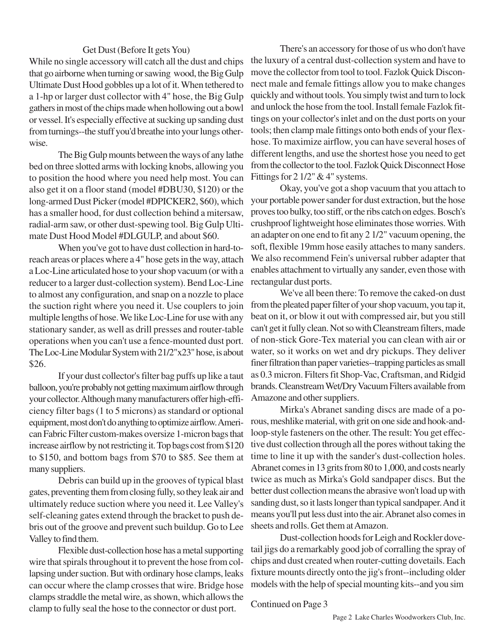## Get Dust (Before It gets You)

While no single accessory will catch all the dust and chips that go airborne when turning or sawing wood, the Big Gulp Ultimate Dust Hood gobbles up a lot of it. When tethered to a 1-hp or larger dust collector with 4" hose, the Big Gulp gathers in most of the chips made when hollowing out a bowl or vessel. It's especially effective at sucking up sanding dust from turnings--the stuff you'd breathe into your lungs otherwise.

The Big Gulp mounts between the ways of any lathe bed on three slotted arms with locking knobs, allowing you to position the hood where you need help most. You can also get it on a floor stand (model #DBU30, \$120) or the long-armed Dust Picker (model #DPICKER2, \$60), which has a smaller hood, for dust collection behind a mitersaw, radial-arm saw, or other dust-spewing tool. Big Gulp Ultimate Dust Hood Model #DLGULP, and about \$60.

When you've got to have dust collection in hard-toreach areas or places where a 4" hose gets in the way, attach a Loc-Line articulated hose to your shop vacuum (or with a reducer to a larger dust-collection system). Bend Loc-Line to almost any configuration, and snap on a nozzle to place the suction right where you need it. Use couplers to join multiple lengths of hose. We like Loc-Line for use with any stationary sander, as well as drill presses and router-table operations when you can't use a fence-mounted dust port. The Loc-Line Modular System with 21/2"x23" hose, is about \$26.

If your dust collector's filter bag puffs up like a taut balloon, you're probably not getting maximum airflow through your collector. Although many manufacturers offer high-efficiency filter bags (1 to 5 microns) as standard or optional equipment, most don't do anything to optimize airflow. American Fabric Filter custom-makes oversize 1-micron bags that increase airflow by not restricting it. Top bags cost from \$120 to \$150, and bottom bags from \$70 to \$85. See them at many suppliers.

Debris can build up in the grooves of typical blast gates, preventing them from closing fully, so they leak air and ultimately reduce suction where you need it. Lee Valley's self-cleaning gates extend through the bracket to push debris out of the groove and prevent such buildup. Go to Lee Valley to find them.

Flexible dust-collection hose has a metal supporting wire that spirals throughout it to prevent the hose from collapsing under suction. But with ordinary hose clamps, leaks can occur where the clamp crosses that wire. Bridge hose clamps straddle the metal wire, as shown, which allows the clamp to fully seal the hose to the connector or dust port.

There's an accessory for those of us who don't have the luxury of a central dust-collection system and have to move the collector from tool to tool. Fazlok Quick Disconnect male and female fittings allow you to make changes quickly and without tools. You simply twist and turn to lock and unlock the hose from the tool. Install female Fazlok fittings on your collector's inlet and on the dust ports on your tools; then clamp male fittings onto both ends of your flexhose. To maximize airflow, you can have several hoses of different lengths, and use the shortest hose you need to get from the collector to the tool. Fazlok Quick Disconnect Hose Fittings for 2 1/2" & 4" systems.

Okay, you've got a shop vacuum that you attach to your portable power sander for dust extraction, but the hose proves too bulky, too stiff, or the ribs catch on edges. Bosch's crushproof lightweight hose eliminates those worries. With an adapter on one end to fit any 2 1/2" vacuum opening, the soft, flexible 19mm hose easily attaches to many sanders. We also recommend Fein's universal rubber adapter that enables attachment to virtually any sander, even those with rectangular dust ports.

We've all been there: To remove the caked-on dust from the pleated paper filter of your shop vacuum, you tap it, beat on it, or blow it out with compressed air, but you still can't get it fully clean. Not so with Cleanstream filters, made of non-stick Gore-Tex material you can clean with air or water, so it works on wet and dry pickups. They deliver finer filtration than paper varieties--trapping particles as small as 0.3 micron. Filters fit Shop-Vac, Craftsman, and Ridgid brands. Cleanstream Wet/Dry Vacuum Filters available from Amazone and other suppliers.

Mirka's Abranet sanding discs are made of a porous, meshlike material, with grit on one side and hook-andloop-style fasteners on the other. The result: You get effective dust collection through all the pores without taking the time to line it up with the sander's dust-collection holes. Abranet comes in 13 grits from 80 to 1,000, and costs nearly twice as much as Mirka's Gold sandpaper discs. But the better dust collection means the abrasive won't load up with sanding dust, so it lasts longer than typical sandpaper. And it means you'll put less dust into the air. Abranet also comes in sheets and rolls. Get them at Amazon.

Dust-collection hoods for Leigh and Rockler dovetail jigs do a remarkably good job of corralling the spray of chips and dust created when router-cutting dovetails. Each fixture mounts directly onto the jig's front--including older models with the help of special mounting kits--and you sim

Continued on Page 3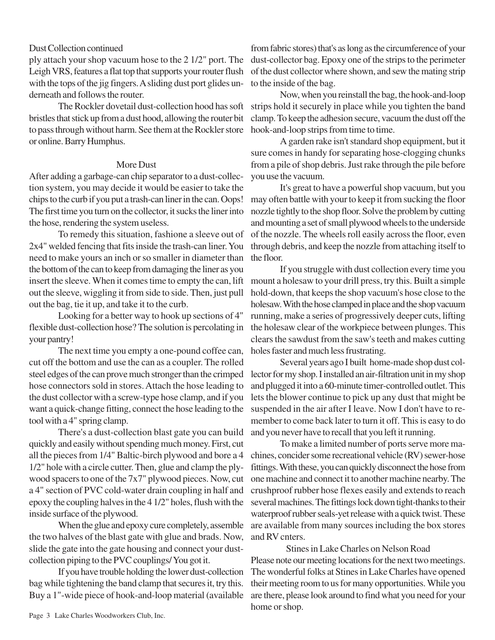## Dust Collection continued

ply attach your shop vacuum hose to the 2 1/2" port. The Leigh VRS, features a flat top that supports your router flush with the tops of the jig fingers. A sliding dust port glides underneath and follows the router.

The Rockler dovetail dust-collection hood has soft bristles that stick up from a dust hood, allowing the router bit to pass through without harm. See them at the Rockler store or online. Barry Humphus.

#### More Dust

After adding a garbage-can chip separator to a dust-collection system, you may decide it would be easier to take the chips to the curb if you put a trash-can liner in the can. Oops! The first time you turn on the collector, it sucks the liner into the hose, rendering the system useless.

To remedy this situation, fashione a sleeve out of 2x4" welded fencing that fits inside the trash-can liner. You need to make yours an inch or so smaller in diameter than the bottom of the can to keep from damaging the liner as you insert the sleeve. When it comes time to empty the can, lift out the sleeve, wiggling it from side to side. Then, just pull out the bag, tie it up, and take it to the curb.

Looking for a better way to hook up sections of 4" flexible dust-collection hose? The solution is percolating in your pantry!

The next time you empty a one-pound coffee can, cut off the bottom and use the can as a coupler. The rolled steel edges of the can prove much stronger than the crimped hose connectors sold in stores. Attach the hose leading to the dust collector with a screw-type hose clamp, and if you want a quick-change fitting, connect the hose leading to the tool with a 4" spring clamp.

There's a dust-collection blast gate you can build quickly and easily without spending much money. First, cut all the pieces from 1/4" Baltic-birch plywood and bore a 4 1/2" hole with a circle cutter. Then, glue and clamp the plywood spacers to one of the 7x7" plywood pieces. Now, cut a 4" section of PVC cold-water drain coupling in half and epoxy the coupling halves in the 4 1/2" holes, flush with the inside surface of the plywood.

When the glue and epoxy cure completely, assemble the two halves of the blast gate with glue and brads. Now, slide the gate into the gate housing and connect your dustcollection piping to the PVC couplings/ You got it.

If you have trouble holding the lower dust-collection bag while tightening the band clamp that secures it, try this. Buy a 1"-wide piece of hook-and-loop material (available

from fabric stores) that's as long as the circumference of your dust-collector bag. Epoxy one of the strips to the perimeter of the dust collector where shown, and sew the mating strip to the inside of the bag.

Now, when you reinstall the bag, the hook-and-loop strips hold it securely in place while you tighten the band clamp. To keep the adhesion secure, vacuum the dust off the hook-and-loop strips from time to time.

A garden rake isn't standard shop equipment, but it sure comes in handy for separating hose-clogging chunks from a pile of shop debris. Just rake through the pile before you use the vacuum.

It's great to have a powerful shop vacuum, but you may often battle with your to keep it from sucking the floor nozzle tightly to the shop floor. Solve the problem by cutting and mounting a set of small plywood wheels to the underside of the nozzle. The wheels roll easily across the floor, even through debris, and keep the nozzle from attaching itself to the floor.

If you struggle with dust collection every time you mount a holesaw to your drill press, try this. Built a simple hold-down, that keeps the shop vacuum's hose close to the holesaw. With the hose clamped in place and the shop vacuum running, make a series of progressively deeper cuts, lifting the holesaw clear of the workpiece between plunges. This clears the sawdust from the saw's teeth and makes cutting holes faster and much less frustrating.

Several years ago I built home-made shop dust collector for my shop. I installed an air-filtration unit in my shop and plugged it into a 60-minute timer-controlled outlet. This lets the blower continue to pick up any dust that might be suspended in the air after I leave. Now I don't have to remember to come back later to turn it off. This is easy to do and you never have to recall that you left it running.

To make a limited number of ports serve more machines, concider some recreational vehicle (RV) sewer-hose fittings. With these, you can quickly disconnect the hose from one machine and connect it to another machine nearby. The crushproof rubber hose flexes easily and extends to reach several machines. The fittings lock down tight-thanks to their waterproof rubber seals-yet release with a quick twist. These are available from many sources including the box stores and RV cnters.

Stines in Lake Charles on Nelson Road Please note our meeting locations for the next two meetings. The wonderful folks at Stines in Lake Charles have opened their meeting room to us for many opportunities. While you are there, please look around to find what you need for your home or shop.